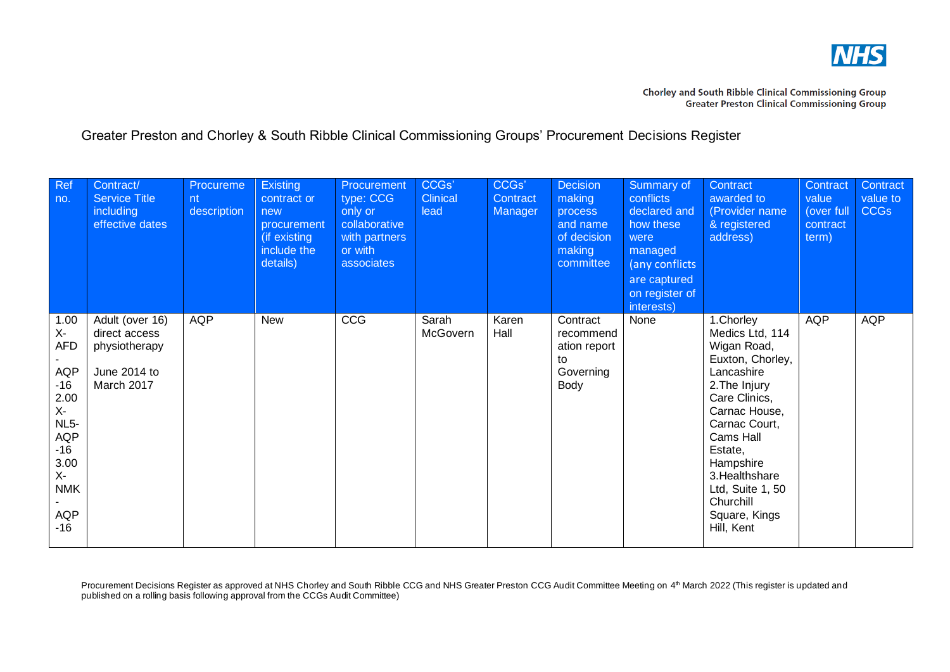

| Ref<br>no.                                                                                                                                 | Contract/<br><b>Service Title</b><br>including<br>effective dates               | Procureme<br>nt<br>description | Existing<br>contract or<br>new<br>procurement<br>(if existing<br>include the<br>details) | Procurement<br>type: CCG<br>only or<br>collaborative<br>with partners<br>or with<br>associates | CCGs'<br><b>Clinical</b><br>lead | CCGs'<br>Contract<br>Manager | <b>Decision</b><br>making<br>process<br>and name<br>of decision<br>making<br>committee | Summary of<br>conflicts<br>declared and<br>how these<br>were<br>managed<br>(any conflicts<br>are captured<br>on register of<br>interests) | Contract<br>awarded to<br>(Provider name<br>& registered<br>address)                                                                                                                                                                                                      | Contract<br>value<br>(over full<br>contract<br>term) | Contract<br>value to<br><b>CCGs</b> |
|--------------------------------------------------------------------------------------------------------------------------------------------|---------------------------------------------------------------------------------|--------------------------------|------------------------------------------------------------------------------------------|------------------------------------------------------------------------------------------------|----------------------------------|------------------------------|----------------------------------------------------------------------------------------|-------------------------------------------------------------------------------------------------------------------------------------------|---------------------------------------------------------------------------------------------------------------------------------------------------------------------------------------------------------------------------------------------------------------------------|------------------------------------------------------|-------------------------------------|
| 1.00<br>$X-$<br><b>AFD</b><br>AQP<br>$-16$<br>2.00<br>$X-$<br>$NL5-$<br>AQP<br>$-16$<br>3.00<br>$X -$<br><b>NMK</b><br><b>AQP</b><br>$-16$ | Adult (over 16)<br>direct access<br>physiotherapy<br>June 2014 to<br>March 2017 | <b>AQP</b>                     | <b>New</b>                                                                               | CCG                                                                                            | Sarah<br>McGovern                | Karen<br>Hall                | Contract<br>recommend<br>ation report<br>to<br>Governing<br>Body                       | None                                                                                                                                      | 1. Chorley<br>Medics Ltd, 114<br>Wigan Road,<br>Euxton, Chorley,<br>Lancashire<br>2. The Injury<br>Care Clinics,<br>Carnac House,<br>Carnac Court,<br>Cams Hall<br>Estate,<br>Hampshire<br>3. Healthshare<br>Ltd, Suite 1, 50<br>Churchill<br>Square, Kings<br>Hill, Kent | <b>AQP</b>                                           | <b>AQP</b>                          |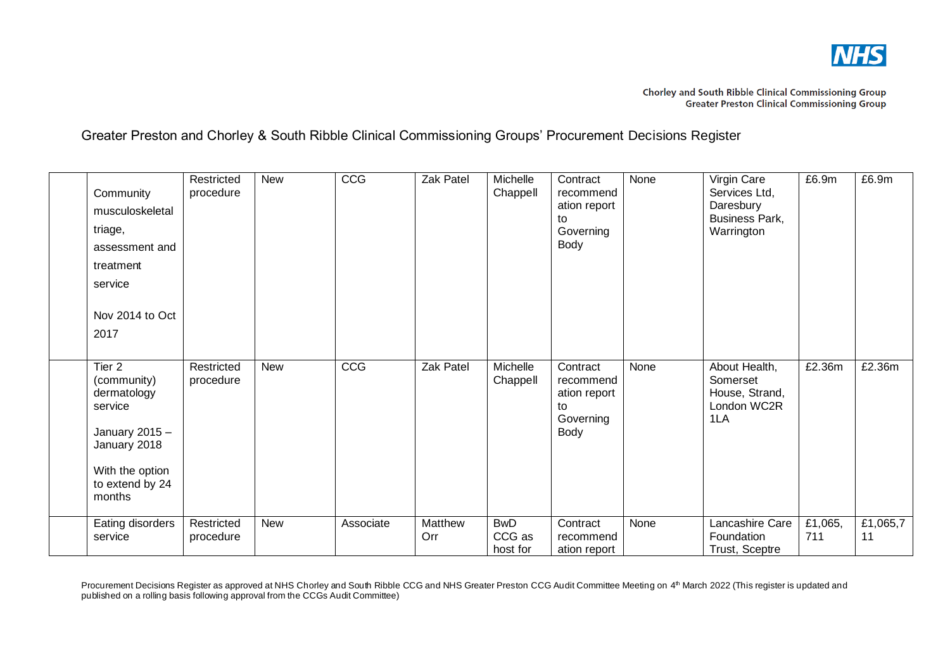

| Community<br>musculoskeletal<br>triage,<br>assessment and<br>treatment<br>service<br>Nov 2014 to Oct<br>2017                        | Restricted<br>procedure | <b>New</b> | CCG       | Zak Patel      | Michelle<br>Chappell             | Contract<br>recommend<br>ation report<br>to<br>Governing<br>Body | None | Virgin Care<br>Services Ltd,<br>Daresbury<br>Business Park,<br>Warrington | £6.9m          | £6.9m          |
|-------------------------------------------------------------------------------------------------------------------------------------|-------------------------|------------|-----------|----------------|----------------------------------|------------------------------------------------------------------|------|---------------------------------------------------------------------------|----------------|----------------|
| Tier 2<br>(community)<br>dermatology<br>service<br>January $2015 -$<br>January 2018<br>With the option<br>to extend by 24<br>months | Restricted<br>procedure | <b>New</b> | CCG       | Zak Patel      | Michelle<br>Chappell             | Contract<br>recommend<br>ation report<br>to<br>Governing<br>Body | None | About Health,<br>Somerset<br>House, Strand,<br>London WC2R<br>1LA         | £2.36m         | £2.36m         |
| Eating disorders<br>service                                                                                                         | Restricted<br>procedure | <b>New</b> | Associate | Matthew<br>Orr | <b>BwD</b><br>CCG as<br>host for | Contract<br>recommend<br>ation report                            | None | Lancashire Care<br>Foundation<br>Trust, Sceptre                           | £1,065,<br>711 | £1,065,7<br>11 |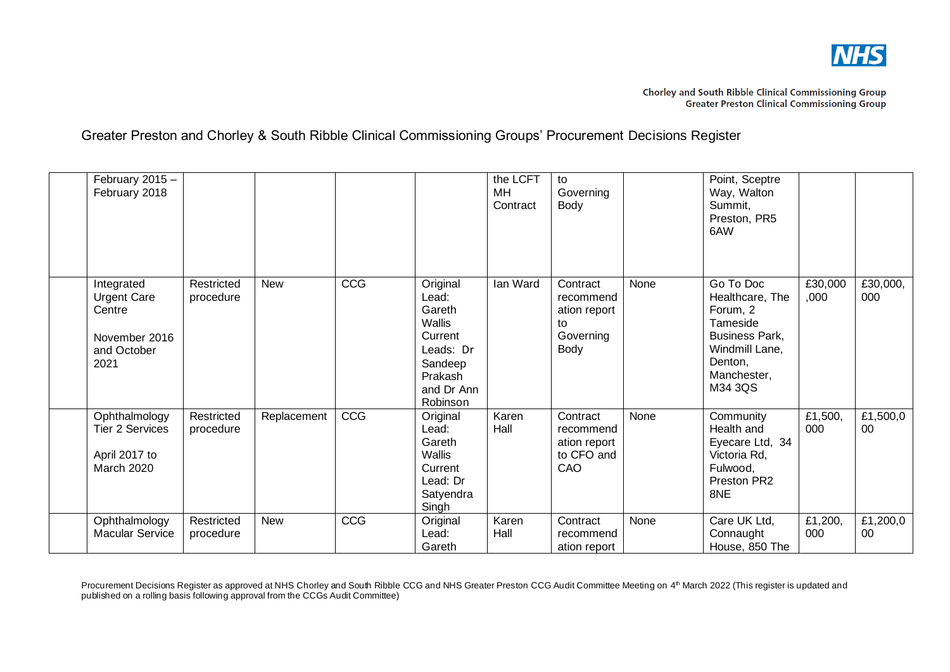

| February 2015 -<br>February 2018                                                   |                         |             |     |                                                                                                                      | the LCFT<br>MН<br>Contract | to<br>Governing<br>Body                                          |      | Point, Sceptre<br>Way, Walton<br>Summit,<br>Preston, PR5<br>6AW                                                                      |                 |                 |
|------------------------------------------------------------------------------------|-------------------------|-------------|-----|----------------------------------------------------------------------------------------------------------------------|----------------------------|------------------------------------------------------------------|------|--------------------------------------------------------------------------------------------------------------------------------------|-----------------|-----------------|
| Integrated<br><b>Urgent Care</b><br>Centre<br>November 2016<br>and October<br>2021 | Restricted<br>procedure | <b>New</b>  | CCG | Original<br>Lead:<br>Gareth<br><b>Wallis</b><br>Current<br>Leads: Dr<br>Sandeep<br>Prakash<br>and Dr Ann<br>Robinson | Ian Ward                   | Contract<br>recommend<br>ation report<br>to<br>Governing<br>Body | None | Go To Doc<br>Healthcare, The<br>Forum, 2<br>Tameside<br><b>Business Park,</b><br>Windmill Lane,<br>Denton,<br>Manchester,<br>M34 3QS | £30,000<br>,000 | £30,000,<br>000 |
| Ophthalmology<br><b>Tier 2 Services</b><br>April 2017 to<br>March 2020             | Restricted<br>procedure | Replacement | CCG | Original<br>Lead:<br>Gareth<br><b>Wallis</b><br>Current<br>Lead: Dr<br>Satyendra<br>Singh                            | Karen<br>Hall              | Contract<br>recommend<br>ation report<br>to CFO and<br>CAO       | None | Community<br>Health and<br>Eyecare Ltd, 34<br>Victoria Rd,<br>Fulwood,<br>Preston PR2<br>8NE                                         | £1,500,<br>000  | £1,500,0<br>00  |
| Ophthalmology<br><b>Macular Service</b>                                            | Restricted<br>procedure | <b>New</b>  | CCG | Original<br>Lead:<br>Gareth                                                                                          | Karen<br>Hall              | Contract<br>recommend<br>ation report                            | None | Care UK Ltd,<br>Connaught<br>House, 850 The                                                                                          | £1,200,<br>000  | £1,200,0<br>00  |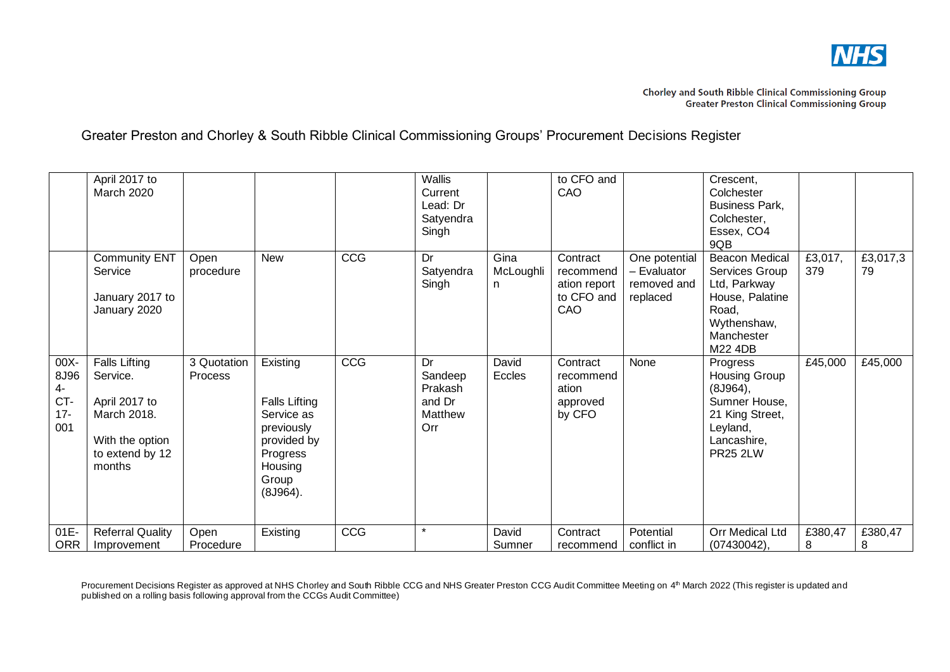

|                                            | April 2017 to<br><b>March 2020</b>                                                                               |                               |                                                                                                                         |     | <b>Wallis</b><br>Current<br>Lead: Dr<br>Satyendra<br>Singh |                        | to CFO and<br>CAO                                          |                                                         | Crescent,<br>Colchester<br>Business Park,<br>Colchester,<br>Essex, CO4<br>9QB                                                  |                |                |
|--------------------------------------------|------------------------------------------------------------------------------------------------------------------|-------------------------------|-------------------------------------------------------------------------------------------------------------------------|-----|------------------------------------------------------------|------------------------|------------------------------------------------------------|---------------------------------------------------------|--------------------------------------------------------------------------------------------------------------------------------|----------------|----------------|
|                                            | <b>Community ENT</b><br>Service<br>January 2017 to<br>January 2020                                               | Open<br>procedure             | New                                                                                                                     | CCG | Dr<br>Satyendra<br>Singh                                   | Gina<br>McLoughli<br>n | Contract<br>recommend<br>ation report<br>to CFO and<br>CAO | One potential<br>- Evaluator<br>removed and<br>replaced | <b>Beacon Medical</b><br>Services Group<br>Ltd, Parkway<br>House, Palatine<br>Road,<br>Wythenshaw,<br>Manchester<br>M22 4DB    | £3,017,<br>379 | £3,017,3<br>79 |
| 00X-<br>8J96<br>4-<br>CT-<br>$17 -$<br>001 | <b>Falls Lifting</b><br>Service.<br>April 2017 to<br>March 2018.<br>With the option<br>to extend by 12<br>months | 3 Quotation<br><b>Process</b> | Existing<br><b>Falls Lifting</b><br>Service as<br>previously<br>provided by<br>Progress<br>Housing<br>Group<br>(8J964). | CCG | Dr<br>Sandeep<br>Prakash<br>and Dr<br>Matthew<br>Orr       | David<br>Eccles        | Contract<br>recommend<br>ation<br>approved<br>by CFO       | None                                                    | Progress<br><b>Housing Group</b><br>(8J964),<br>Sumner House,<br>21 King Street,<br>Leyland,<br>Lancashire,<br><b>PR25 2LW</b> | £45,000        | £45,000        |
| 01E-<br><b>ORR</b>                         | <b>Referral Quality</b><br>Improvement                                                                           | Open<br>Procedure             | Existing                                                                                                                | CCG | $\star$                                                    | David<br>Sumner        | Contract<br>recommend                                      | Potential<br>conflict in                                | Orr Medical Ltd<br>(07430042),                                                                                                 | £380,47<br>8   | £380,47<br>8   |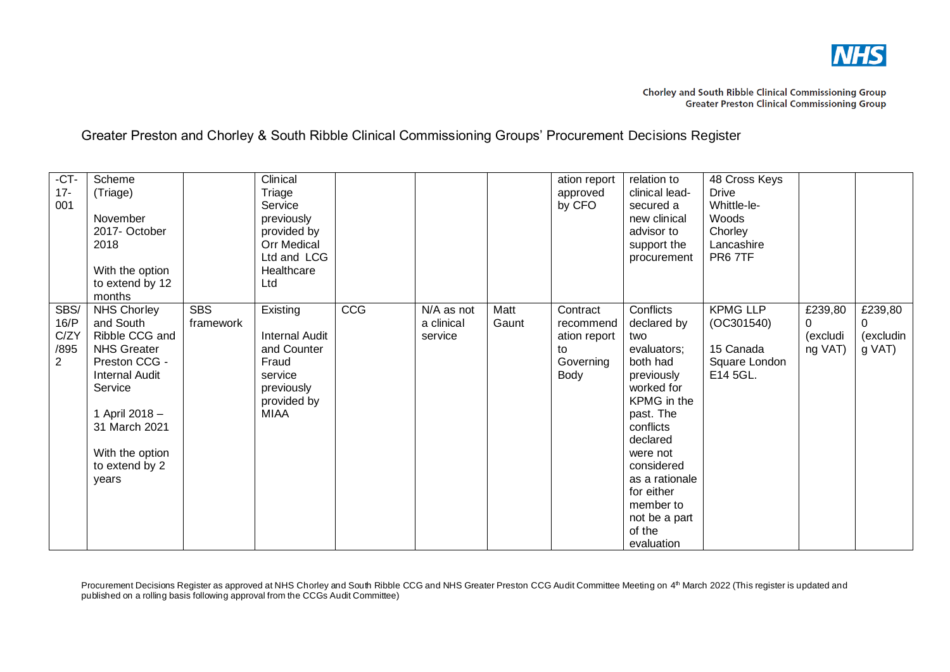

| $-CT -$<br>$17 -$<br>001                       | Scheme<br>(Triage)<br>November<br>2017- October<br>2018<br>With the option<br>to extend by 12<br>months                                                                                                       |                         | Clinical<br>Triage<br>Service<br>previously<br>provided by<br><b>Orr Medical</b><br>Ltd and LCG<br>Healthcare<br>Ltd |     |                                     |               | ation report<br>approved<br>by CFO                               | relation to<br>clinical lead-<br>secured a<br>new clinical<br>advisor to<br>support the<br>procurement                                                                                                                                                      | 48 Cross Keys<br><b>Drive</b><br>Whittle-le-<br>Woods<br>Chorley<br>Lancashire<br>PR67TF |                                     |                                       |
|------------------------------------------------|---------------------------------------------------------------------------------------------------------------------------------------------------------------------------------------------------------------|-------------------------|----------------------------------------------------------------------------------------------------------------------|-----|-------------------------------------|---------------|------------------------------------------------------------------|-------------------------------------------------------------------------------------------------------------------------------------------------------------------------------------------------------------------------------------------------------------|------------------------------------------------------------------------------------------|-------------------------------------|---------------------------------------|
| SBS/<br>16/P<br>C/ZY<br>/895<br>$\overline{2}$ | <b>NHS Chorley</b><br>and South<br>Ribble CCG and<br><b>NHS Greater</b><br>Preston CCG -<br><b>Internal Audit</b><br>Service<br>1 April 2018 -<br>31 March 2021<br>With the option<br>to extend by 2<br>years | <b>SBS</b><br>framework | Existing<br><b>Internal Audit</b><br>and Counter<br>Fraud<br>service<br>previously<br>provided by<br><b>MIAA</b>     | CCG | N/A as not<br>a clinical<br>service | Matt<br>Gaunt | Contract<br>recommend<br>ation report<br>to<br>Governing<br>Body | Conflicts<br>declared by<br>two<br>evaluators;<br>both had<br>previously<br>worked for<br>KPMG in the<br>past. The<br>conflicts<br>declared<br>were not<br>considered<br>as a rationale<br>for either<br>member to<br>not be a part<br>of the<br>evaluation | <b>KPMG LLP</b><br>(OC301540)<br>15 Canada<br>Square London<br>E14 5GL.                  | £239,80<br>0<br>(excludi<br>ng VAT) | £239,80<br>0<br>(excludin<br>$g$ VAT) |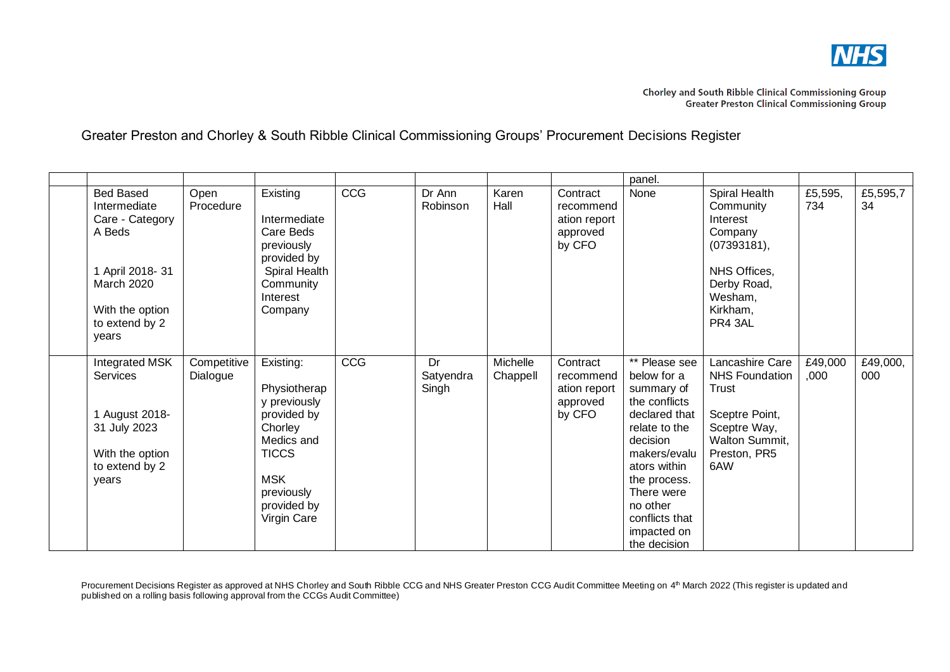

|                                                                                                                                                      |                         |                                                                                                                                                             |     |                          |                      |                                                             | panel.                                                                                                                                                                                                                               |                                                                                                                                     |                 |                 |
|------------------------------------------------------------------------------------------------------------------------------------------------------|-------------------------|-------------------------------------------------------------------------------------------------------------------------------------------------------------|-----|--------------------------|----------------------|-------------------------------------------------------------|--------------------------------------------------------------------------------------------------------------------------------------------------------------------------------------------------------------------------------------|-------------------------------------------------------------------------------------------------------------------------------------|-----------------|-----------------|
| <b>Bed Based</b><br>Intermediate<br>Care - Category<br>A Beds<br>1 April 2018- 31<br><b>March 2020</b><br>With the option<br>to extend by 2<br>years | Open<br>Procedure       | Existing<br>Intermediate<br>Care Beds<br>previously<br>provided by<br>Spiral Health<br>Community<br>Interest<br>Company                                     | CCG | Dr Ann<br>Robinson       | Karen<br>Hall        | Contract<br>recommend<br>ation report<br>approved<br>by CFO | None                                                                                                                                                                                                                                 | Spiral Health<br>Community<br>Interest<br>Company<br>(07393181),<br>NHS Offices,<br>Derby Road,<br>Wesham,<br>Kirkham,<br>PR4 3AL   | £5,595,<br>734  | £5,595,7<br>34  |
| Integrated MSK<br>Services<br>1 August 2018-<br>31 July 2023<br>With the option<br>to extend by 2<br>years                                           | Competitive<br>Dialogue | Existing:<br>Physiotherap<br>y previously<br>provided by<br>Chorley<br>Medics and<br><b>TICCS</b><br><b>MSK</b><br>previously<br>provided by<br>Virgin Care | CCG | Dr<br>Satyendra<br>Singh | Michelle<br>Chappell | Contract<br>recommend<br>ation report<br>approved<br>by CFO | ** Please see<br>below for a<br>summary of<br>the conflicts<br>declared that<br>relate to the<br>decision<br>makers/evalu<br>ators within<br>the process.<br>There were<br>no other<br>conflicts that<br>impacted on<br>the decision | Lancashire Care<br><b>NHS Foundation</b><br><b>Trust</b><br>Sceptre Point,<br>Sceptre Way,<br>Walton Summit,<br>Preston, PR5<br>6AW | £49,000<br>,000 | £49,000,<br>000 |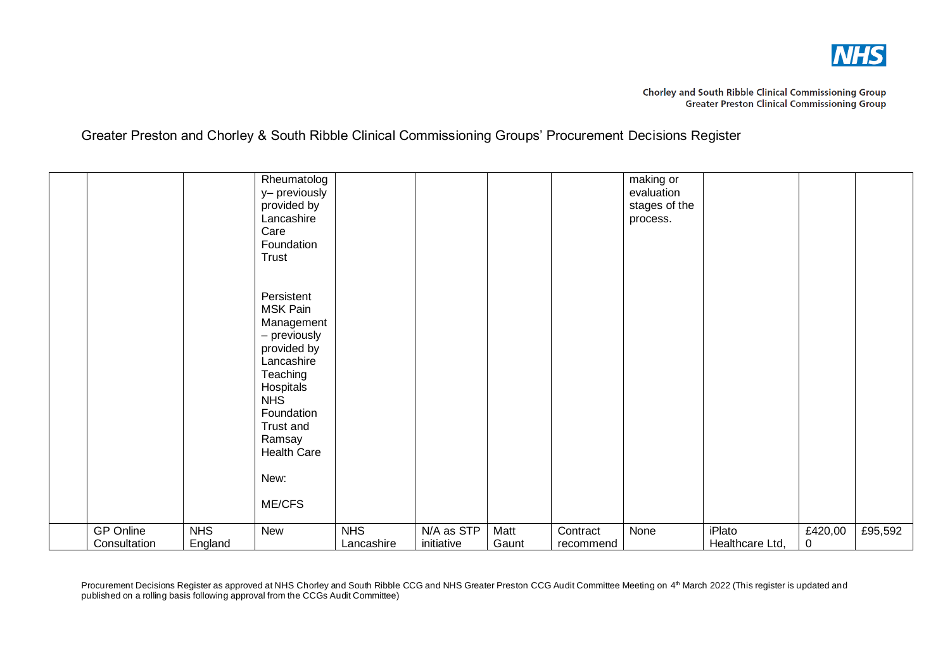

|                                  |                       | Rheumatolog<br>y- previously<br>provided by<br>Lancashire<br>Care<br>Foundation<br>Trust                                                                                                       |                          |                          |               |                       | making or<br>evaluation<br>stages of the<br>process. |                                  |              |         |
|----------------------------------|-----------------------|------------------------------------------------------------------------------------------------------------------------------------------------------------------------------------------------|--------------------------|--------------------------|---------------|-----------------------|------------------------------------------------------|----------------------------------|--------------|---------|
|                                  |                       | Persistent<br>MSK Pain<br>Management<br>- previously<br>provided by<br>Lancashire<br>Teaching<br>Hospitals<br><b>NHS</b><br>Foundation<br>Trust and<br>Ramsay<br>Health Care<br>New:<br>ME/CFS |                          |                          |               |                       |                                                      |                                  |              |         |
| <b>GP Online</b><br>Consultation | <b>NHS</b><br>England | New                                                                                                                                                                                            | <b>NHS</b><br>Lancashire | N/A as STP<br>initiative | Matt<br>Gaunt | Contract<br>recommend | None                                                 | <b>iPlato</b><br>Healthcare Ltd, | £420,00<br>0 | £95,592 |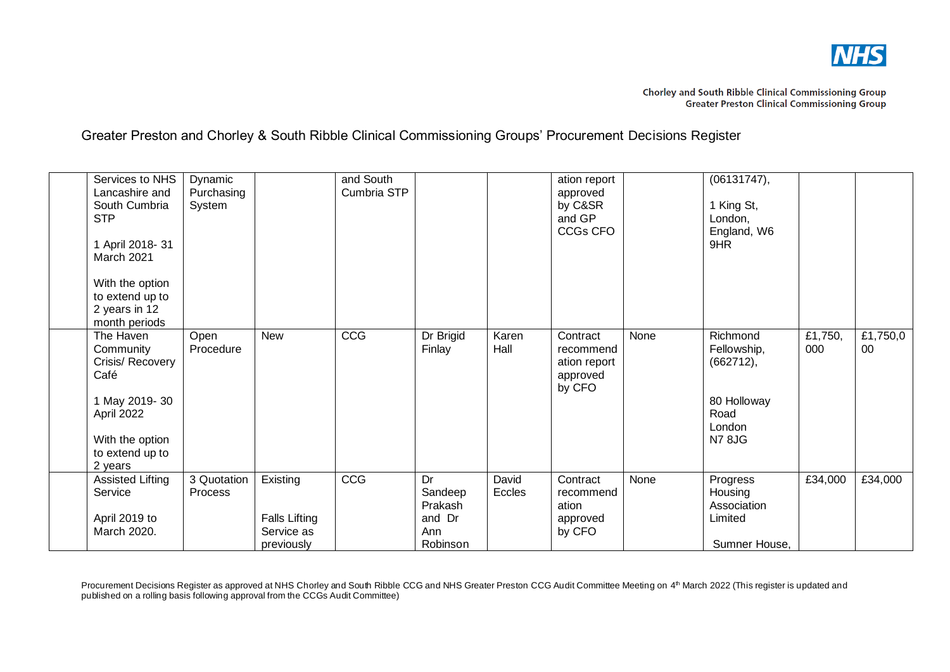

| Services to NHS<br>Lancashire and<br>South Cumbria<br><b>STP</b><br>1 April 2018- 31<br>March 2021<br>With the option<br>to extend up to<br>2 years in 12<br>month periods | Dynamic<br>Purchasing<br>System |                                                              | and South<br>Cumbria STP |                                                       |                 | ation report<br>approved<br>by C&SR<br>and GP<br>CCGs CFO   |      | (06131747),<br>1 King St,<br>London,<br>England, W6<br>9HR                             |                |                |
|----------------------------------------------------------------------------------------------------------------------------------------------------------------------------|---------------------------------|--------------------------------------------------------------|--------------------------|-------------------------------------------------------|-----------------|-------------------------------------------------------------|------|----------------------------------------------------------------------------------------|----------------|----------------|
| The Haven<br>Community<br>Crisis/ Recovery<br>Café<br>1 May 2019-30<br>April 2022<br>With the option<br>to extend up to<br>2 years                                         | Open<br>Procedure               | <b>New</b>                                                   | CCG                      | Dr Brigid<br>Finlay                                   | Karen<br>Hall   | Contract<br>recommend<br>ation report<br>approved<br>by CFO | None | Richmond<br>Fellowship,<br>(662712),<br>80 Holloway<br>Road<br>London<br><b>N7 8JG</b> | £1,750,<br>000 | £1,750,0<br>00 |
| Assisted Lifting<br>Service<br>April 2019 to<br>March 2020.                                                                                                                | 3 Quotation<br>Process          | Existing<br><b>Falls Lifting</b><br>Service as<br>previously | CCG                      | Dr<br>Sandeep<br>Prakash<br>and Dr<br>Ann<br>Robinson | David<br>Eccles | Contract<br>recommend<br>ation<br>approved<br>by CFO        | None | Progress<br>Housing<br>Association<br>Limited<br>Sumner House,                         | £34,000        | £34,000        |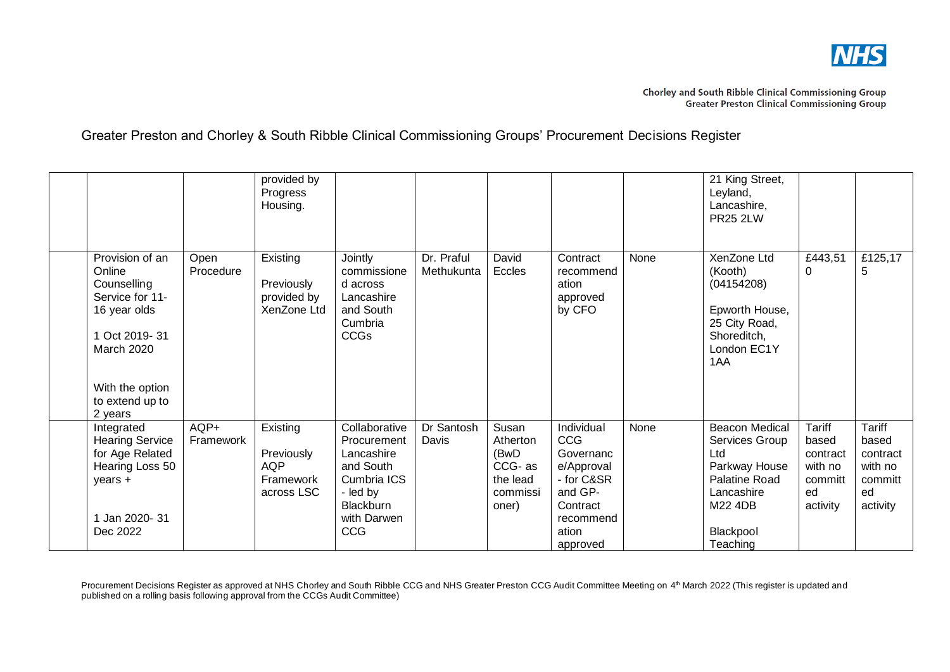

|                                                                                                                                                           |                   | provided by<br>Progress<br>Housing.                             |                                                                                                                              |                          |                                                                      |                                                                                                                                   |      | 21 King Street,<br>Leyland,<br>Lancashire,<br><b>PR25 2LW</b>                                                                      |                                                                     |                                                                            |
|-----------------------------------------------------------------------------------------------------------------------------------------------------------|-------------------|-----------------------------------------------------------------|------------------------------------------------------------------------------------------------------------------------------|--------------------------|----------------------------------------------------------------------|-----------------------------------------------------------------------------------------------------------------------------------|------|------------------------------------------------------------------------------------------------------------------------------------|---------------------------------------------------------------------|----------------------------------------------------------------------------|
| Provision of an<br>Online<br>Counselling<br>Service for 11-<br>16 year olds<br>Oct 2019-31<br>March 2020<br>With the option<br>to extend up to<br>2 years | Open<br>Procedure | Existing<br>Previously<br>provided by<br>XenZone Ltd            | Jointly<br>commissione<br>d across<br>Lancashire<br>and South<br>Cumbria<br><b>CCGs</b>                                      | Dr. Praful<br>Methukunta | David<br>Eccles                                                      | Contract<br>recommend<br>ation<br>approved<br>by CFO                                                                              | None | XenZone Ltd<br>(Kooth)<br>(04154208)<br>Epworth House,<br>25 City Road,<br>Shoreditch,<br>London EC1Y<br>1AA                       | £443,51<br>O                                                        | £125,17<br>5                                                               |
| Integrated<br><b>Hearing Service</b><br>for Age Related<br>Hearing Loss 50<br>years +<br>1 Jan 2020- 31<br>Dec 2022                                       | AQP+<br>Framework | Existing<br>Previously<br><b>AQP</b><br>Framework<br>across LSC | Collaborative<br>Procurement<br>Lancashire<br>and South<br>Cumbria ICS<br>- led by<br><b>Blackburn</b><br>with Darwen<br>CCG | Dr Santosh<br>Davis      | Susan<br>Atherton<br>(BwD<br>CCG-as<br>the lead<br>commissi<br>oner) | <b>Individual</b><br><b>CCG</b><br>Governanc<br>e/Approval<br>- for C&SR<br>and GP-<br>Contract<br>recommend<br>ation<br>approved | None | <b>Beacon Medical</b><br>Services Group<br>Ltd<br>Parkway House<br>Palatine Road<br>Lancashire<br>M22 4DB<br>Blackpool<br>Teaching | Tariff<br>based<br>contract<br>with no<br>committ<br>ed<br>activity | <b>Tariff</b><br>based<br>contract<br>with no<br>committ<br>ed<br>activity |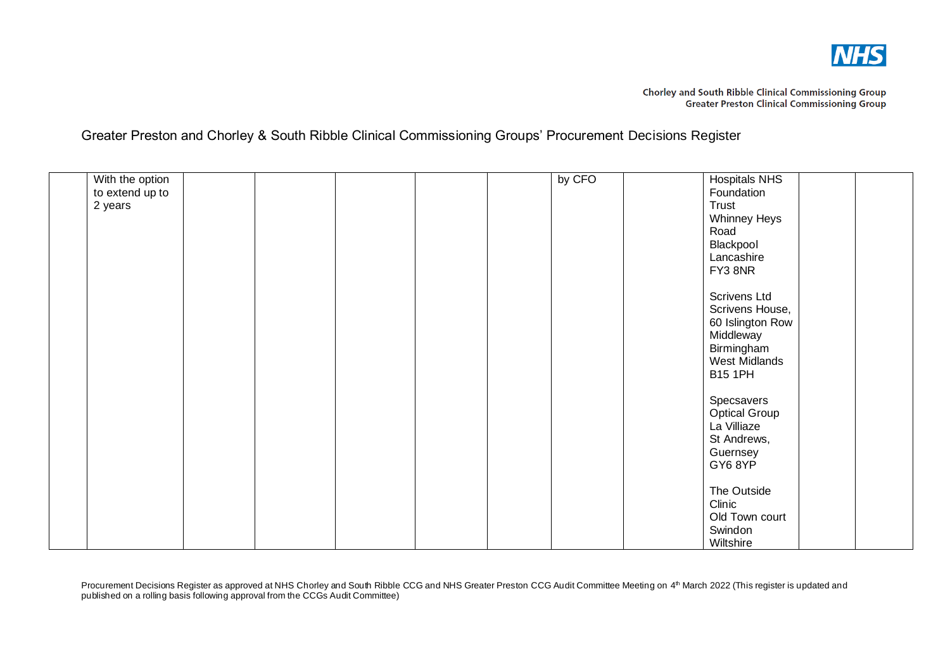

Chorley and South Ribble Clinical Commissioning Group<br>Greater Preston Clinical Commissioning Group

Greater Preston and Chorley & South Ribble Clinical Commissioning Groups' Procurement Decisions Register

| With the option |  |  | by CFO | <b>Hospitals NHS</b> |  |
|-----------------|--|--|--------|----------------------|--|
|                 |  |  |        |                      |  |
| to extend up to |  |  |        | Foundation           |  |
| 2 years         |  |  |        | Trust                |  |
|                 |  |  |        | Whinney Heys         |  |
|                 |  |  |        | Road                 |  |
|                 |  |  |        | Blackpool            |  |
|                 |  |  |        | Lancashire           |  |
|                 |  |  |        | FY3 8NR              |  |
|                 |  |  |        |                      |  |
|                 |  |  |        |                      |  |
|                 |  |  |        | Scrivens Ltd         |  |
|                 |  |  |        | Scrivens House,      |  |
|                 |  |  |        | 60 Islington Row     |  |
|                 |  |  |        | Middleway            |  |
|                 |  |  |        | Birmingham           |  |
|                 |  |  |        | West Midlands        |  |
|                 |  |  |        | <b>B15 1PH</b>       |  |
|                 |  |  |        |                      |  |
|                 |  |  |        |                      |  |
|                 |  |  |        | Specsavers           |  |
|                 |  |  |        | Optical Group        |  |
|                 |  |  |        | La Villiaze          |  |
|                 |  |  |        | St Andrews,          |  |
|                 |  |  |        | Guernsey             |  |
|                 |  |  |        | GY6 8YP              |  |
|                 |  |  |        |                      |  |
|                 |  |  |        | The Outside          |  |
|                 |  |  |        | Clinic               |  |
|                 |  |  |        | Old Town court       |  |
|                 |  |  |        |                      |  |
|                 |  |  |        | Swindon              |  |
|                 |  |  |        | Wiltshire            |  |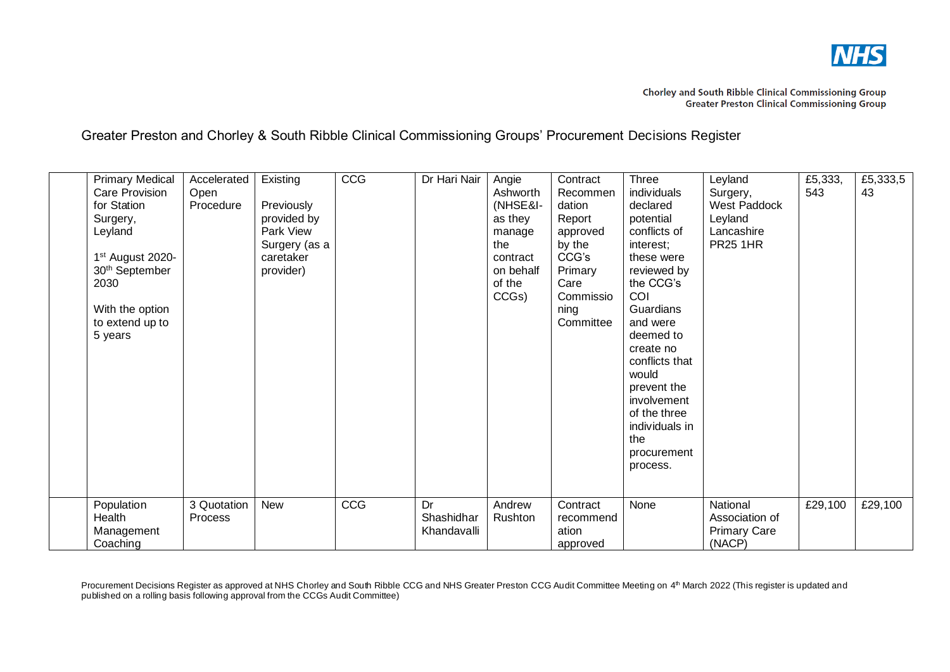

| <b>Primary Medical</b><br><b>Care Provision</b><br>for Station<br>Surgery,<br>Leyland<br>1 <sup>st</sup> August 2020-<br>30 <sup>th</sup> September<br>2030<br>With the option<br>to extend up to<br>5 years | Accelerated<br>Open<br>Procedure | Existing<br>Previously<br>provided by<br>Park View<br>Surgery (as a<br>caretaker<br>provider) | CCG | Dr Hari Nair                    | Angie<br>Ashworth<br>(NHSE&I-<br>as they<br>manage<br>the<br>contract<br>on behalf<br>of the<br>CCGs) | Contract<br>Recommen<br>dation<br>Report<br>approved<br>by the<br>CCG's<br>Primary<br>Care<br>Commissio<br>ning<br>Committee | Three<br>individuals<br>declared<br>potential<br>conflicts of<br>interest;<br>these were<br>reviewed by<br>the CCG's<br>COI<br>Guardians<br>and were<br>deemed to<br>create no<br>conflicts that<br>would<br>prevent the<br>involvement<br>of the three<br>individuals in<br>the<br>procurement<br>process. | Leyland<br>Surgery,<br>West Paddock<br>Leyland<br>Lancashire<br><b>PR25 1HR</b> | £5,333,<br>543 | £5,333,5<br>43 |
|--------------------------------------------------------------------------------------------------------------------------------------------------------------------------------------------------------------|----------------------------------|-----------------------------------------------------------------------------------------------|-----|---------------------------------|-------------------------------------------------------------------------------------------------------|------------------------------------------------------------------------------------------------------------------------------|-------------------------------------------------------------------------------------------------------------------------------------------------------------------------------------------------------------------------------------------------------------------------------------------------------------|---------------------------------------------------------------------------------|----------------|----------------|
| Population<br>Health<br>Management<br>Coaching                                                                                                                                                               | 3 Quotation<br><b>Process</b>    | <b>New</b>                                                                                    | CCG | Dr<br>Shashidhar<br>Khandavalli | Andrew<br>Rushton                                                                                     | Contract<br>recommend<br>ation<br>approved                                                                                   | None                                                                                                                                                                                                                                                                                                        | National<br>Association of<br><b>Primary Care</b><br>(NACP)                     | £29,100        | £29,100        |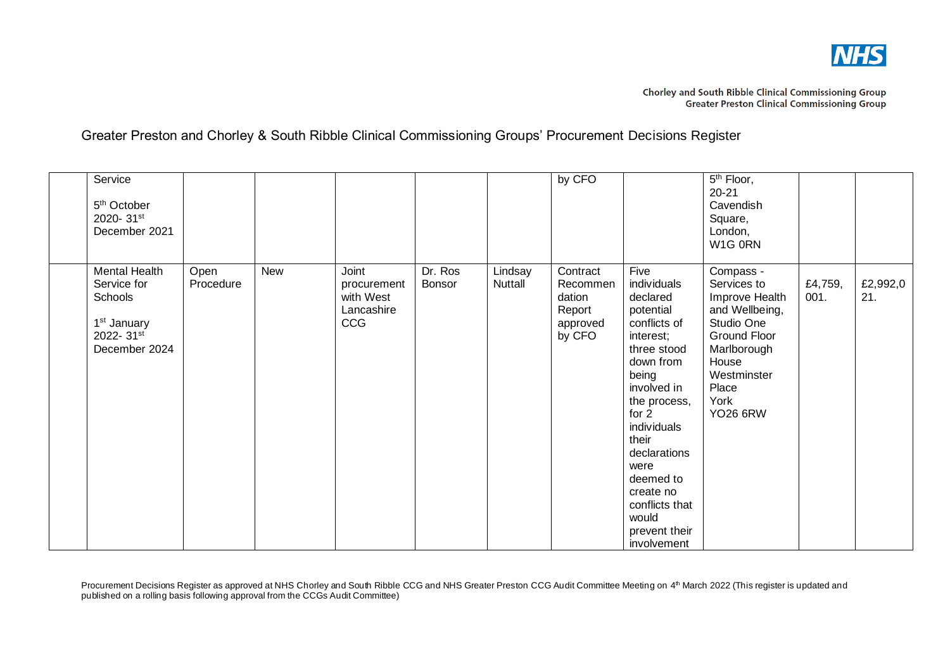

| Service<br>5 <sup>th</sup> October<br>2020-31st<br>December 2021                                 |                   |            |                                                        |                          |                           | by CFO                                                         |                                                                                                                                                                                                                                                                                               | $\overline{5}^{\text{th}}$ Floor,<br>$20 - 21$<br>Cavendish<br>Square,<br>London,<br>W1G 0RN                                                                          |                 |                 |
|--------------------------------------------------------------------------------------------------|-------------------|------------|--------------------------------------------------------|--------------------------|---------------------------|----------------------------------------------------------------|-----------------------------------------------------------------------------------------------------------------------------------------------------------------------------------------------------------------------------------------------------------------------------------------------|-----------------------------------------------------------------------------------------------------------------------------------------------------------------------|-----------------|-----------------|
| Mental Health<br>Service for<br>Schools<br>1 <sup>st</sup> January<br>2022-31st<br>December 2024 | Open<br>Procedure | <b>New</b> | Joint<br>procurement<br>with West<br>Lancashire<br>CCG | Dr. Ros<br><b>Bonsor</b> | Lindsay<br><b>Nuttall</b> | Contract<br>Recommen<br>dation<br>Report<br>approved<br>by CFO | Five<br>individuals<br>declared<br>potential<br>conflicts of<br>interest;<br>three stood<br>down from<br>being<br>involved in<br>the process,<br>for $2$<br>individuals<br>their<br>declarations<br>were<br>deemed to<br>create no<br>conflicts that<br>would<br>prevent their<br>involvement | Compass -<br>Services to<br>Improve Health<br>and Wellbeing,<br>Studio One<br>Ground Floor<br>Marlborough<br>House<br>Westminster<br>Place<br>York<br><b>YO26 6RW</b> | £4,759,<br>001. | £2,992,0<br>21. |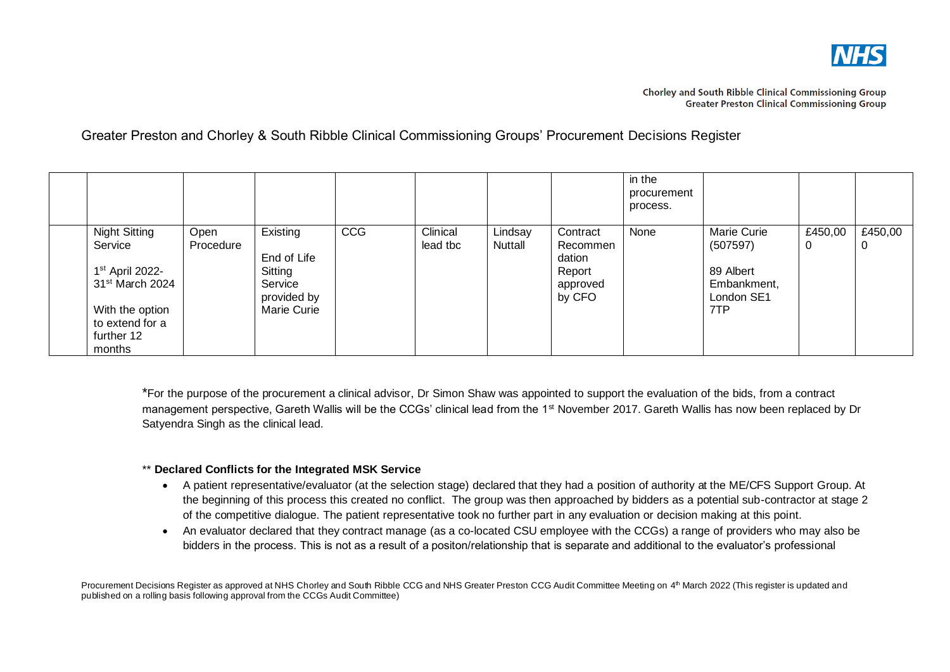

|                                                                                                                                                             |                   |                                                                             |     |                      |                    |                                                                | in the<br>procurement<br>process. |                                                                                 |              |                |
|-------------------------------------------------------------------------------------------------------------------------------------------------------------|-------------------|-----------------------------------------------------------------------------|-----|----------------------|--------------------|----------------------------------------------------------------|-----------------------------------|---------------------------------------------------------------------------------|--------------|----------------|
| <b>Night Sitting</b><br>Service<br>1 <sup>st</sup> April 2022-<br>31 <sup>st</sup> March 2024<br>With the option<br>to extend for a<br>further 12<br>months | Open<br>Procedure | Existing<br>End of Life<br>Sitting<br>Service<br>provided by<br>Marie Curie | CCG | Clinical<br>lead tbc | Lindsay<br>Nuttall | Contract<br>Recommen<br>dation<br>Report<br>approved<br>by CFO | None                              | <b>Marie Curie</b><br>(507597)<br>89 Albert<br>Embankment,<br>London SE1<br>7TP | £450,00<br>0 | £450,00<br>- U |

\*For the purpose of the procurement a clinical advisor, Dr Simon Shaw was appointed to support the evaluation of the bids, from a contract management perspective, Gareth Wallis will be the CCGs' clinical lead from the 1<sup>st</sup> November 2017. Gareth Wallis has now been replaced by Dr Satyendra Singh as the clinical lead.

### \*\* **Declared Conflicts for the Integrated MSK Service**

- A patient representative/evaluator (at the selection stage) declared that they had a position of authority at the ME/CFS Support Group. At the beginning of this process this created no conflict. The group was then approached by bidders as a potential sub-contractor at stage 2 of the competitive dialogue. The patient representative took no further part in any evaluation or decision making at this point.
- An evaluator declared that they contract manage (as a co-located CSU employee with the CCGs) a range of providers who may also be bidders in the process. This is not as a result of a positon/relationship that is separate and additional to the evaluator's professional